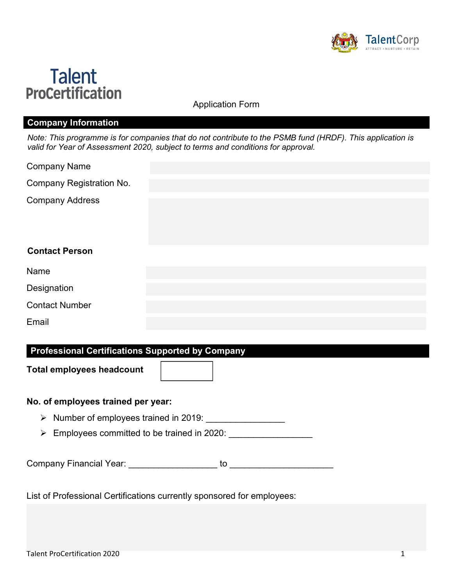



Application Form

### Company Information

Note: This programme is for companies that do not contribute to the PSMB fund (HRDF). This application is valid for Year of Assessment 2020, subject to terms and conditions for approval.

| <b>Company Name</b> |  |
|---------------------|--|
|---------------------|--|

Company Registration No.

Company Address

## Contact Person

| Name                  |  |  |
|-----------------------|--|--|
| Designation           |  |  |
| <b>Contact Number</b> |  |  |
| Email                 |  |  |

## Professional Certifications Supported by Company

Total employees headcount

#### No. of employees trained per year:

- > Number of employees trained in 2019: \_\_\_\_\_\_\_\_\_\_\_\_\_\_\_\_
- $\triangleright$  Employees committed to be trained in 2020:

Company Financial Year: \_\_\_\_\_\_\_\_\_\_\_\_\_\_\_\_\_\_ to \_\_\_\_\_\_\_\_\_\_\_\_\_\_\_\_\_\_\_\_\_

List of Professional Certifications currently sponsored for employees: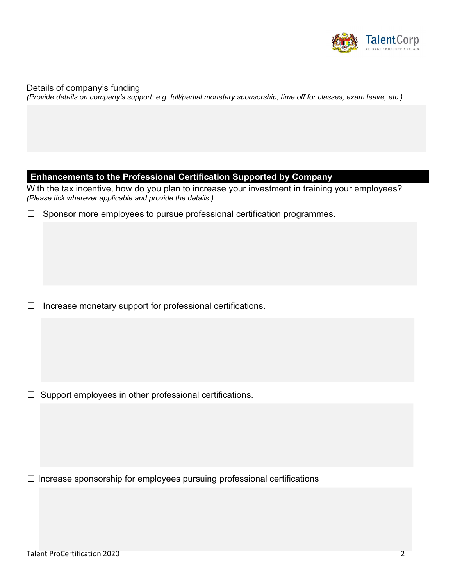

Details of company's funding (Provide details on company's support: e.g. full/partial monetary sponsorship, time off for classes, exam leave, etc.)

#### Enhancements to the Professional Certification Supported by Company

With the tax incentive, how do you plan to increase your investment in training your employees? (Please tick wherever applicable and provide the details.)

| $\Box$ Sponsor more employees to pursue professional certification programmes. |  |  |  |
|--------------------------------------------------------------------------------|--|--|--|
|                                                                                |  |  |  |

☐ Increase monetary support for professional certifications.

 $\Box$  Support employees in other professional certifications.

☐ Increase sponsorship for employees pursuing professional certifications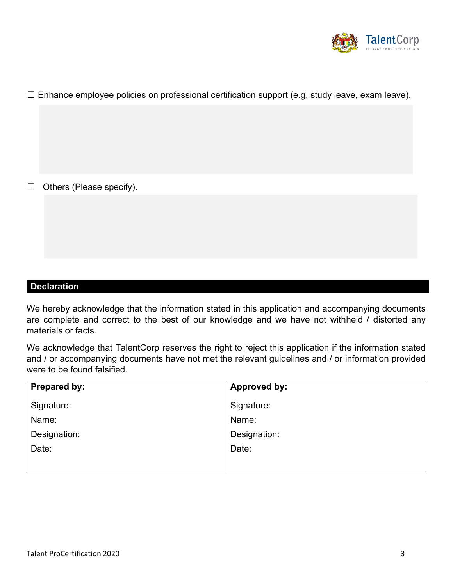

 $\Box$  Enhance employee policies on professional certification support (e.g. study leave, exam leave).

☐ Others (Please specify).

# Declaration

We hereby acknowledge that the information stated in this application and accompanying documents are complete and correct to the best of our knowledge and we have not withheld / distorted any materials or facts.

We acknowledge that TalentCorp reserves the right to reject this application if the information stated and / or accompanying documents have not met the relevant guidelines and / or information provided were to be found falsified.

| Prepared by: | <b>Approved by:</b> |
|--------------|---------------------|
| Signature:   | Signature:          |
| Name:        | Name:               |
| Designation: | Designation:        |
| Date:        | Date:               |
|              |                     |